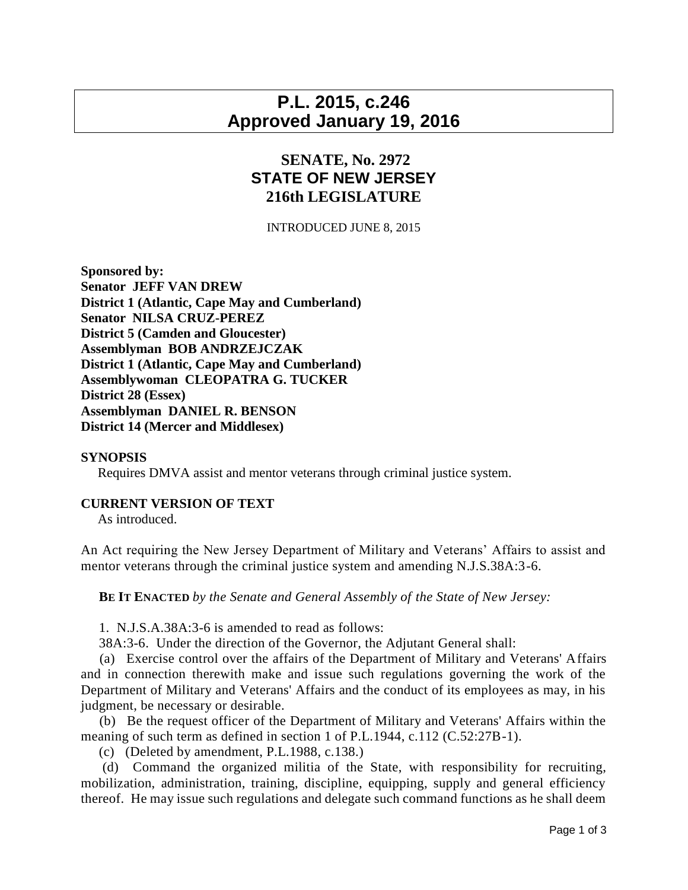## **P.L. 2015, c.246 Approved January 19, 2016**

## **SENATE, No. 2972 STATE OF NEW JERSEY 216th LEGISLATURE**

INTRODUCED JUNE 8, 2015

**Sponsored by: Senator JEFF VAN DREW District 1 (Atlantic, Cape May and Cumberland) Senator NILSA CRUZ-PEREZ District 5 (Camden and Gloucester) Assemblyman BOB ANDRZEJCZAK District 1 (Atlantic, Cape May and Cumberland) Assemblywoman CLEOPATRA G. TUCKER District 28 (Essex) Assemblyman DANIEL R. BENSON District 14 (Mercer and Middlesex)**

## **SYNOPSIS**

Requires DMVA assist and mentor veterans through criminal justice system.

## **CURRENT VERSION OF TEXT**

As introduced.

An Act requiring the New Jersey Department of Military and Veterans' Affairs to assist and mentor veterans through the criminal justice system and amending N.J.S.38A:3-6.

**BE IT ENACTED** *by the Senate and General Assembly of the State of New Jersey:*

1. N.J.S.A.38A:3-6 is amended to read as follows:

38A:3-6. Under the direction of the Governor, the Adjutant General shall:

 (a) Exercise control over the affairs of the Department of Military and Veterans' Affairs and in connection therewith make and issue such regulations governing the work of the Department of Military and Veterans' Affairs and the conduct of its employees as may, in his judgment, be necessary or desirable.

 (b) Be the request officer of the Department of Military and Veterans' Affairs within the meaning of such term as defined in section 1 of P.L.1944, c.112 (C.52:27B-1).

(c) (Deleted by amendment, P.L.1988, c.138.)

 (d) Command the organized militia of the State, with responsibility for recruiting, mobilization, administration, training, discipline, equipping, supply and general efficiency thereof. He may issue such regulations and delegate such command functions as he shall deem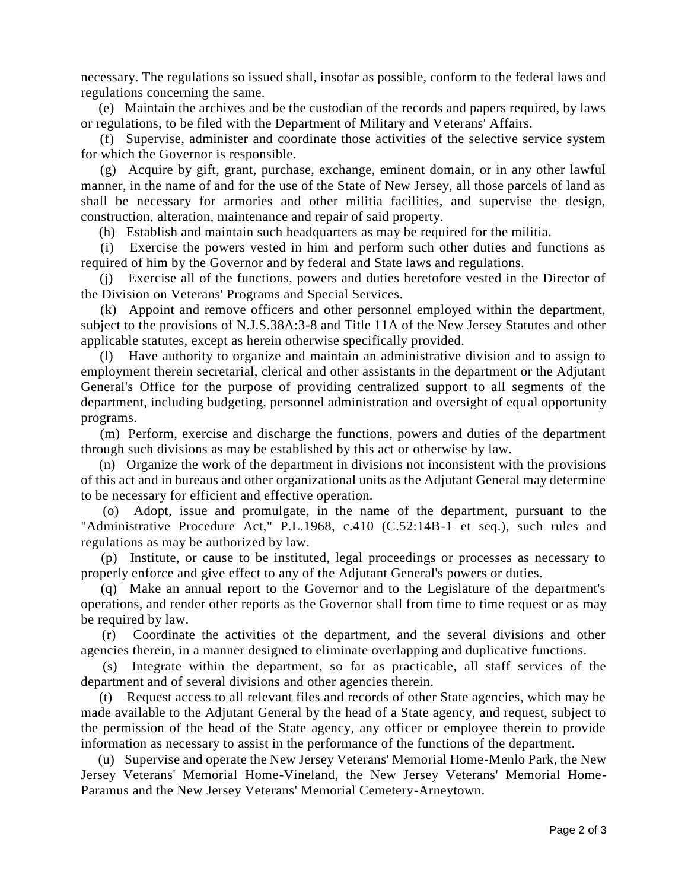necessary. The regulations so issued shall, insofar as possible, conform to the federal laws and regulations concerning the same.

 (e) Maintain the archives and be the custodian of the records and papers required, by laws or regulations, to be filed with the Department of Military and Veterans' Affairs.

 (f) Supervise, administer and coordinate those activities of the selective service system for which the Governor is responsible.

 (g) Acquire by gift, grant, purchase, exchange, eminent domain, or in any other lawful manner, in the name of and for the use of the State of New Jersey, all those parcels of land as shall be necessary for armories and other militia facilities, and supervise the design, construction, alteration, maintenance and repair of said property.

(h) Establish and maintain such headquarters as may be required for the militia.

 (i) Exercise the powers vested in him and perform such other duties and functions as required of him by the Governor and by federal and State laws and regulations.

Exercise all of the functions, powers and duties heretofore vested in the Director of the Division on Veterans' Programs and Special Services.

 (k) Appoint and remove officers and other personnel employed within the department, subject to the provisions of N.J.S.38A:3-8 and Title 11A of the New Jersey Statutes and other applicable statutes, except as herein otherwise specifically provided.

 (l) Have authority to organize and maintain an administrative division and to assign to employment therein secretarial, clerical and other assistants in the department or the Adjutant General's Office for the purpose of providing centralized support to all segments of the department, including budgeting, personnel administration and oversight of equal opportunity programs.

 (m) Perform, exercise and discharge the functions, powers and duties of the department through such divisions as may be established by this act or otherwise by law.

 (n) Organize the work of the department in divisions not inconsistent with the provisions of this act and in bureaus and other organizational units as the Adjutant General may determine to be necessary for efficient and effective operation.

 (o) Adopt, issue and promulgate, in the name of the department, pursuant to the "Administrative Procedure Act," P.L.1968, c.410 (C.52:14B-1 et seq.), such rules and regulations as may be authorized by law.

 (p) Institute, or cause to be instituted, legal proceedings or processes as necessary to properly enforce and give effect to any of the Adjutant General's powers or duties.

 (q) Make an annual report to the Governor and to the Legislature of the department's operations, and render other reports as the Governor shall from time to time request or as may be required by law.

 (r) Coordinate the activities of the department, and the several divisions and other agencies therein, in a manner designed to eliminate overlapping and duplicative functions.

 (s) Integrate within the department, so far as practicable, all staff services of the department and of several divisions and other agencies therein.

 (t) Request access to all relevant files and records of other State agencies, which may be made available to the Adjutant General by the head of a State agency, and request, subject to the permission of the head of the State agency, any officer or employee therein to provide information as necessary to assist in the performance of the functions of the department.

 (u) Supervise and operate the New Jersey Veterans' Memorial Home-Menlo Park, the New Jersey Veterans' Memorial Home-Vineland, the New Jersey Veterans' Memorial Home-Paramus and the New Jersey Veterans' Memorial Cemetery-Arneytown.